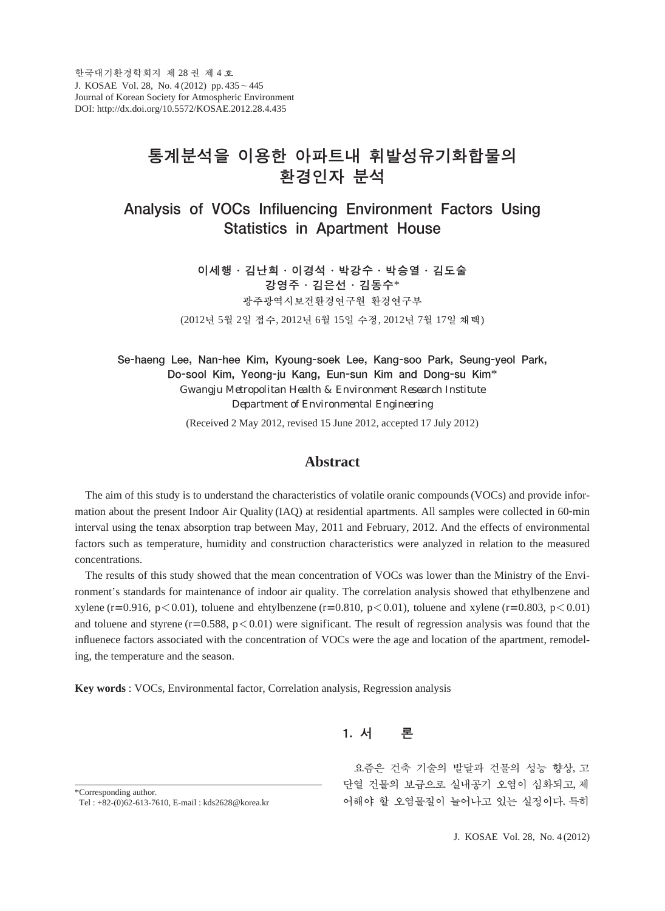# 통계분석을 이용한 아파트내 휘발성유기화합물의 환경인자 분석

Analysis of VOCs Infiluencing Environment Factors Using Statistics in Apartment House

> 이세행∙김난희∙이경석∙박강수∙박승열∙김도술 강영주∙김은선∙김동수\* 광주광역시보건환경연구원 환경연구부 (2012년 5월 2일 접수, 2012년 6월 15일 수정, 2012년 7월 17일 채택)

Se-haeng Lee, Nan-hee Kim, Kyoung-soek Lee, Kang-soo Park, Seung-yeol Park, Do-sool Kim, Yeong-ju Kang, Eun-sun Kim and Dong-su Kim\* *Gwangju Metropolitan Health & Environment Research Institute Department of Environmental Engineering* (Received 2 May 2012, revised 15 June 2012, accepted 17 July 2012)

# **Abstract**

The aim of this study is to understand the characteristics of volatile oranic compounds (VOCs) and provide information about the present Indoor Air Quality (IAQ) at residential apartments. All samples were collected in 60-min interval using the tenax absorption trap between May, 2011 and February, 2012. And the effects of environmental factors such as temperature, humidity and construction characteristics were analyzed in relation to the measured concentrations.

The results of this study showed that the mean concentration of VOCs was lower than the Ministry of the Environment's standards for maintenance of indoor air quality. The correlation analysis showed that ethylbenzene and xylene (r=0.916, p<0.01), toluene and ehtylbenzene (r=0.810, p<0.01), toluene and xylene (r=0.803, p<0.01) and toluene and styrene ( $r=0.588$ ,  $p<0.01$ ) were significant. The result of regression analysis was found that the influenece factors associated with the concentration of VOCs were the age and location of the apartment, remodeling, the temperature and the season.

**Key words** : VOCs, Environmental factor, Correlation analysis, Regression analysis

1. 서 론

요즘은 건축 기술의 발달과 건물의 성능 향상, 고 단열 건물의 보급으로 실내공기 오염이 심화되고, 제 어해야 할 오염물질이 늘어나고 있는 실정이다. 특히

\*Corresponding author.

Tel : +82-(0)62-613-7610, E-mail : kds2628@korea.kr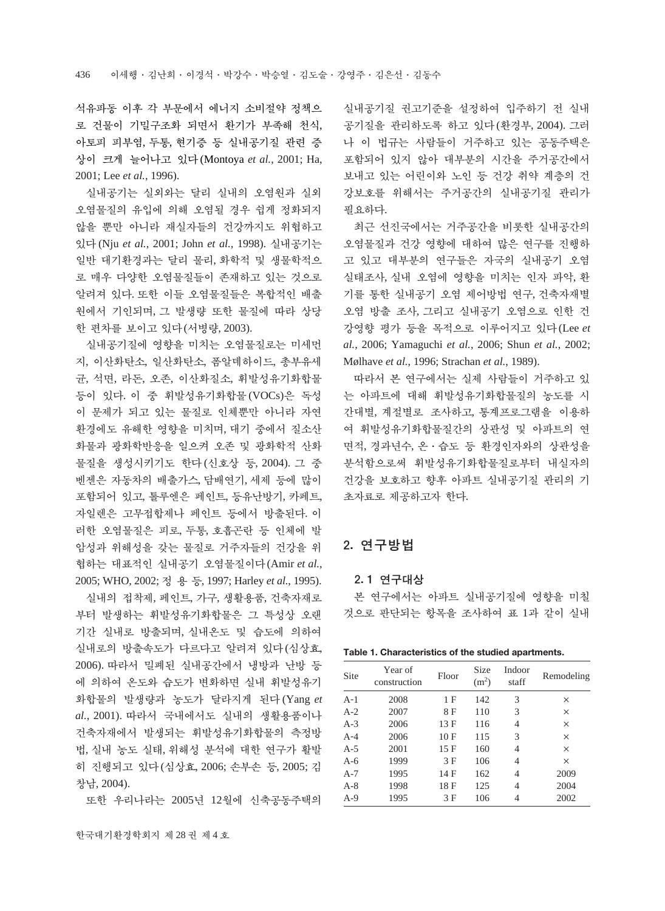석유파동 이후 각 부문에서 에너지 소비절약 정책으 로 건물이 기밀구조화 되면서 환기가 부족해 천식, 아토피 피부염, 두통, 현기증 등 실내공기질 관련 증 상이 크게 늘어나고 있다(Montoya *et al.*, 2001; Ha, 2001; Lee *et al.*, 1996).

실내공기는 실외와는 달리 실내의 오염원과 실외 오염물질의 유입에 의해 오염될 경우 쉽게 정화되지 않을 뿐만 아니라 재실자들의 건강까지도 위협하고 있다(Nju *et al.*, 2001; John *et al.*, 1998). 실내공기는 일반 대기환경과는 달리 물리, 화학적 및 생물학적으 로 매우 다양한 오염물질들이 존재하고 있는 것으로 알려져 있다. 또한 이들 오염물질들은 복합적인 배출 원에서 기인되며, 그 발생량 또한 물질에 따라 상당 한 편차를 보이고 있다(서병량, 2003).

실내공기질에 영향을 미치는 오염물질로는 미세먼 지, 이산화탄소, 일산화탄소, 폼알데하이드, 총부유세 균, 석면, 라돈, 오존, 이산화질소, 휘발성유기화합물 등이 있다. 이 중 휘발성유기화합물(VOCs)은 독성 이 문제가 되고 있는 물질로 인체뿐만 아니라 자연 환경에도 유해한 영향을 미치며, 대기 중에서 질소산 화물과 광화학반응을 일으켜 오존 및 광화학적 산화 물질을 생성시키기도 한다(신호상 등, 2004). 그 중 벤젠은 자동차의 배출가스, 담배연기, 세제 등에 많이 포함되어 있고, 톨루엔은 페인트, 등유난방기, 카페트, 자일렌은 고무접합제나 페인트 등에서 방출된다. 이 러한 오염물질은 피로, 두통, 호흡곤란 등 인체에 발 암성과 위해성을 갖는 물질로 거주자들의 건강을 위 협하는 대표적인 실내공기 오염물질이다(Amir *et al.*, 2005; WHO, 2002; 정용등, 1997; Harley *et al.*, 1995).

실내의 접착제, 페인트, 가구, 생활용품, 건축자재로 부터 발생하는 휘발성유기화합물은 그 특성상 오랜 기간 실내로 방출되며, 실내온도 및 습도에 의하여 실내로의 방출속도가 다르다고 알려져 있다(심상효, 2006). 따라서 밀폐된 실내공간에서 냉방과 난방 등 에 의하여 온도와 습도가 변화하면 실내 휘발성유기 화합물의 발생량과 농도가 달라지게 된다(Yang *et al.*, 2001). 따라서 국내에서도 실내의 생활용품이나 건축자재에서 발생되는 휘발성유기화합물의 측정방 법, 실내 농도 실태, 위해성 분석에 대한 연구가 활발 히 진행되고 있다(심상효, 2006; 손부손 등, 2005; 김 창남, 2004).

또한 우리나라는 2005년 12월에 신축공동주택의

실내공기질 권고기준을 설정하여 입주하기 전 실내 공기질을 관리하도록 하고 있다(환경부, 2004). 그러 나 이 법규는 사람들이 거주하고 있는 공동주택은 포함되어 있지 않아 대부분의 시간을 주거공간에서 보내고 있는 어린이와 노인 등 건강 취약 계층의 건 강보호를 위해서는 주거공간의 실내공기질 관리가 필요하다.

최근 선진국에서는 거주공간을 비롯한 실내공간의 오염물질과 건강 영향에 대하여 많은 연구를 진행하 고 있고 대부분의 연구들은 자국의 실내공기 오염 실태조사, 실내 오염에 영향을 미치는 인자 파악, 환 기를 통한 실내공기 오염 제어방법 연구, 건축자재별 오염 방출 조사, 그리고 실내공기 오염으로 인한 건 강영향 평가 등을 목적으로 이루어지고 있다(Lee *et al.*, 2006; Yamaguchi *et al.*, 2006; Shun *et al.*, 2002; Mølhave *et al.*, 1996; Strachan *et al.*, 1989).

따라서 본 연구에서는 실제 사람들이 거주하고 있 는 아파트에 대해 휘발성유기화합물질의 농도를 시 간대별, 계절별로 조사하고, 통계프로그램을 이용하 여 휘발성유기화합물질간의 상관성 및 아파트의 연 면적, 경과년수, 온∙습도 등 환경인자와의 상관성을 분석함으로써 휘발성유기화합물질로부터 내실자의 건강을 보호하고 향후 아파트 실내공기질 관리의 기 초자료로 제공하고자 한다.

## 2. 연구방법

#### 2. 1 연구대상

본 연구에서는 아파트 실내공기질에 영향을 미칠 것으로 판단되는 항목을 조사하여 표 1과 같이 실내

| Table 1. Characteristics of the studied apartments. |  |  |
|-----------------------------------------------------|--|--|
|-----------------------------------------------------|--|--|

| Site  | Year of<br>construction | Floor | Size<br>(m <sup>2</sup> ) | Indoor<br>staff | Remodeling |
|-------|-------------------------|-------|---------------------------|-----------------|------------|
| $A-1$ | 2008                    | 1 F   | 142                       | 3               | ×          |
| $A-2$ | 2007                    | 8 F   | 110                       | 3               | ×          |
| $A-3$ | 2006                    | 13 F  | 116                       | 4               | $\times$   |
| $A-4$ | 2006                    | 10 F  | 115                       | 3               | $\times$   |
| $A-5$ | 2001                    | 15 F  | 160                       | 4               | $\times$   |
| $A-6$ | 1999                    | 3 F   | 106                       | 4               | $\times$   |
| $A-7$ | 1995                    | 14 F  | 162                       | 4               | 2009       |
| $A-8$ | 1998                    | 18 F  | 125                       | 4               | 2004       |
| $A-9$ | 1995                    | 3F    | 106                       | 4               | 2002       |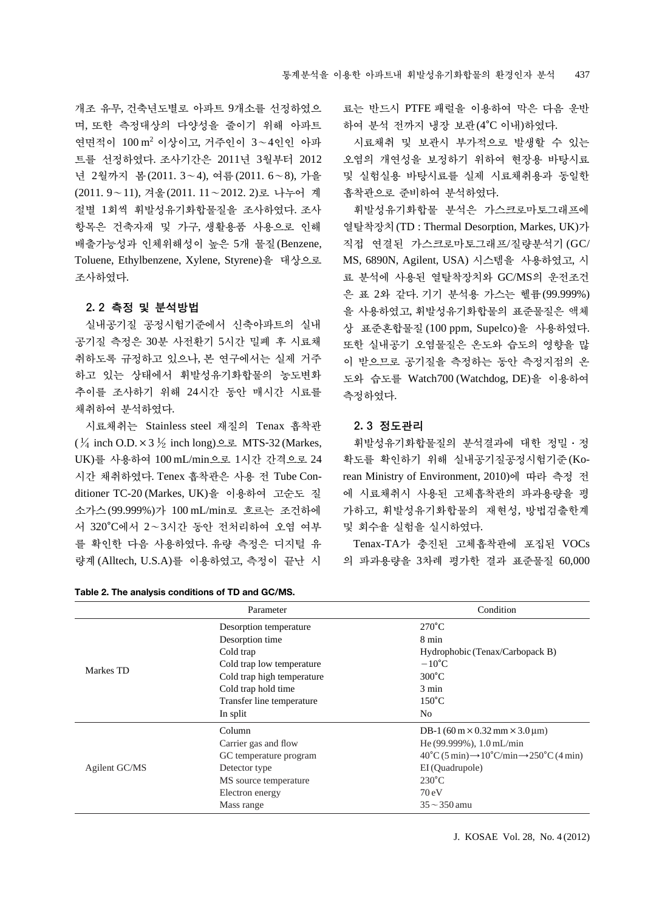개조 유무, 건축년도별로 아파트 9개소를 선정하였으 며, 또한 측정대상의 다양성을 줄이기 위해 아파트 연면적이 100 m2 이상이고, 거주인이 3~4인인 아파 트를 선정하였다. 조사기간은 2011년 3월부터 2012 년 2월까지 봄(2011. 3~4), 여름(2011. 6~8), 가을 (2011. 9~11), 겨울(2011. 11~2012. 2)로 나누어 계 절별 1회씩 휘발성유기화합물질을 조사하였다. 조사 항목은 건축자재 및 가구, 생활용품 사용으로 인해 배출가능성과 인체위해성이 높은 5개 물질(Benzene, Toluene, Ethylbenzene, Xylene, Styrene)을 대상으로 조사하였다.

## 2. 2 측정 및 분석방법

실내공기질 공정시험기준에서 신축아파트의 실내 공기질 측정은 30분 사전환기 5시간 밀폐 후 시료채 취하도록 규정하고 있으나, 본 연구에서는 실제 거주 하고 있는 상태에서 휘발성유기화합물의 농도변화 추이를 조사하기 위해 24시간 동안 매시간 시료를 채취하여 분석하였다.

시료채취는 Stainless steel 재질의 Tenax 흡착관  $(\frac{1}{4} \text{ inch } 0.D. \times 3 \frac{1}{2} \text{ inch } \text{long})$ 으로 MTS-32 (Markes, UK)를 사용하여 100 mL/min으로 1시간 간격으로 24 시간 채취하였다. Tenex 흡착관은 사용 전 Tube Conditioner TC-20 (Markes, UK)을 이용하여 고순도 질 소가스(99.999%)가 100 mL/min로 흐르는 조건하에 서 320�C에서 2~3시간 동안 전처리하여 오염 여부 를 확인한 다음 사용하였다. 유량 측정은 디지털 유 량계(Alltech, U.S.A)를 이용하였고, 측정이 끝난 시

**Table 2. The analysis conditions of TD and GC/MS.**

료는 반드시 PTFE 패럴을 이용하여 막은 다음 운반 하여 분석 전까지 냉장 보관(4�C 이내)하였다.

시료채취 및 보관시 부가적으로 발생할 수 있는 오염의 개연성을 보정하기 위하여 현장용 바탕시료 및 실험실용 바탕시료를 실제 시료채취용과 동일한 흡착관으로 준비하여 분석하였다.

휘발성유기화합물 분석은 가스크로마토그래프에 열탈착장치(TD : Thermal Desorption, Markes, UK)가 직접 연결된 가스크로마토그래프/질량분석기 (GC/ MS, 6890N, Agilent, USA) 시스템을 사용하였고, 시 료 분석에 사용된 열탈착장치와 GC/MS의 운전조건 은 표 2와 같다. 기기 분석용 가스는 헬륨(99.999%) 을 사용하였고, 휘발성유기화합물의 표준물질은 액체 상 표준혼합물질 (100 ppm, Supelco)을 사용하였다. 또한 실내공기 오염물질은 온도와 습도의 영향을 많 이 받으므로 공기질을 측정하는 동안 측정지점의 온 도와 습도를 Watch700 (Watchdog, DE)을 이용하여 측정하였다.

#### 2. 3 정도관리

휘발성유기화합물질의 분석결과에 대한 정밀∙정 확도를 확인하기 위해 실내공기질공정시험기준(Korean Ministry of Environment, 2010)에 따라 측정 전 에 시료채취시 사용된 고체흡착관의 파과용량을 평 가하고, 휘발성유기화합물의 재현성, 방법검출한계 및 회수율 실험을 실시하였다.

Tenax-TA가 충진된 고체흡착관에 포집된 VOCs 의 파과용량을 3차례 평가한 결과 표준물질 60,000

|               | Parameter                  | Condition                                                                                           |
|---------------|----------------------------|-----------------------------------------------------------------------------------------------------|
|               | Desorption temperature     | $270^{\circ}$ C                                                                                     |
|               | Desorption time            | 8 min                                                                                               |
|               | Cold trap                  | Hydrophobic (Tenax/Carbopack B)                                                                     |
|               | Cold trap low temperature  | $-10^{\circ}$ C                                                                                     |
| Markes TD     | Cold trap high temperature | $300^{\circ}$ C                                                                                     |
|               | Cold trap hold time        | 3 min                                                                                               |
|               | Transfer line temperature  | $150^{\circ}$ C                                                                                     |
|               | In split                   | N <sub>o</sub>                                                                                      |
|               | Column                     | DB-1 (60 m $\times$ 0.32 mm $\times$ 3.0 µm)                                                        |
|               | Carrier gas and flow       | He $(99.999\%)$ , $1.0$ mL/min                                                                      |
|               | GC temperature program     | $40^{\circ}$ C (5 min) $\rightarrow$ 10 <sup>°</sup> C/min $\rightarrow$ 250 <sup>°</sup> C (4 min) |
| Agilent GC/MS | Detector type              | EI (Quadrupole)                                                                                     |
|               | MS source temperature      | $230^{\circ}$ C                                                                                     |
|               | Electron energy            | 70eV                                                                                                |
|               | Mass range                 | $35 \sim 350$ amu                                                                                   |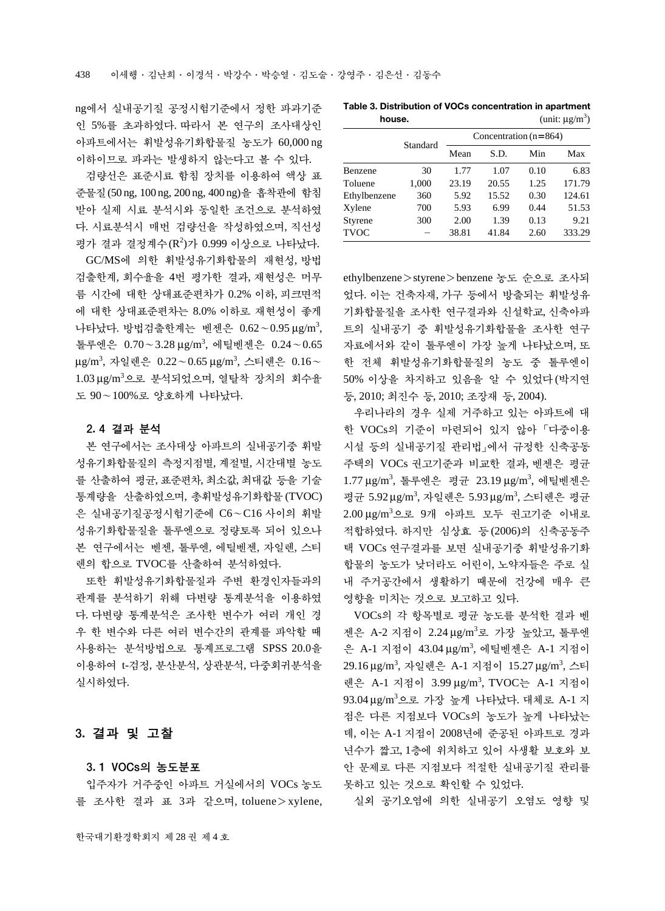ng에서 실내공기질 공정시험기준에서 정한 파과기준 인 5%를 초과하였다. 따라서 본 연구의 조사대상인 아파트에서는 휘발성유기화합물질 농도가 60,000 ng 이하이므로 파과는 발생하지 않는다고 볼 수 있다.

검량선은 표준시료 함침 장치를 이용하여 액상 표 준물질(50 ng, 100 ng, 200 ng, 400 ng)을 흡착관에 함침 받아 실제 시료 분석시와 동일한 조건으로 분석하였 다. 시료분석시 매번 검량선을 작성하였으며, 직선성 평가 결과 결정계수 (R<sup>2</sup>)가 0.999 이상으로 나타났다.

GC/MS에 의한 휘발성유기화합물의 재현성, 방법 검출한계, 회수율을 4번 평가한 결과, 재현성은 머무 름 시간에 대한 상대표준편차가 0.2% 이하, 피크면적 에 대한 상대표준편차는 8.0% 이하로 재현성이 좋게 나타났다. 방법검출한계는 벤젠은 0.62∼0.95μg/m<sup>3</sup>, 톨루엔은 0.70~3.28 μg/m<sup>3</sup> , 에틸벤젠은 0.24~0.65 μg/m<sup>3</sup>, 자일렌은 0.22∼0.65μg/m<sup>3</sup>, 스티렌은 0.16∼ 1.03 μg/m3 으로 분석되었으며, 열탈착 장치의 회수율 도 90~100%로 양호하게 나타났다.

### 2. 4 결과 분석

본 연구에서는 조사대상 아파트의 실내공기중 휘발 성유기화합물질의 측정지점별, 계절별, 시간대별 농도 를 산출하여 평균, 표준편차, 최소값, 최대값 등을 기술 통계량을 산출하였으며, 총휘발성유기화합물(TVOC) 은 실내공기질공정시험기준에 C6~C16 사이의 휘발 성유기화합물질을 톨루엔으로 정량토록 되어 있으나 본 연구에서는 벤젠, 톨루엔, 에틸벤젠, 자일렌, 스티 렌의 합으로 TVOC를 산출하여 분석하였다.

또한 휘발성유기화합물질과 주변 환경인자들과의 관계를 분석하기 위해 다변량 통계분석을 이용하였 다. 다변량 통계분석은 조사한 변수가 여러 개인 경 우 한 변수와 다른 여러 변수간의 관계를 파악할 때 사용하는 분석방법으로 통계프로그램 SPSS 20.0을 이용하여 t-검정, 분산분석, 상관분석, 다중회귀분석을 실시하였다.

# 3. 결과 및 고찰

### 3. 1 VOCs의 농도분포

입주자가 거주중인 아파트 거실에서의 VOCs 농도 를 조사한 결과 표 3과 같으며, toluene > xylene,

|              |          | Concentration $(n=864)$ |       |      |        |  |
|--------------|----------|-------------------------|-------|------|--------|--|
|              | Standard | Mean                    | S.D.  | Min  | Max    |  |
| Benzene      | 30       | 1.77                    | 1.07  | 0.10 | 6.83   |  |
| Toluene      | 1,000    | 23.19                   | 20.55 | 1.25 | 171.79 |  |
| Ethylbenzene | 360      | 5.92                    | 15.52 | 0.30 | 124.61 |  |
| Xylene       | 700      | 5.93                    | 6.99  | 0.44 | 51.53  |  |
| Styrene      | 300      | 2.00                    | 1.39  | 0.13 | 9.21   |  |
| <b>TVOC</b>  |          | 38.81                   | 41.84 | 2.60 | 333.29 |  |

ethylbenzene > styrene > benzene 농도 순으로 조사되 었다. 이는 건축자재, 가구 등에서 방출되는 휘발성유 기화합물질을 조사한 연구결과와 신설학교, 신축아파 트의 실내공기 중 휘발성유기화합물을 조사한 연구 자료에서와 같이 톨루엔이 가장 높게 나타났으며, 또 한 전체 휘발성유기화합물질의 농도 중 톨루엔이 50% 이상을 차지하고 있음을 알 수 있었다(박지연 등, 2010; 최진수 등, 2010; 조장재 등, 2004).

우리나라의 경우 실제 거주하고 있는 아파트에 대 한 VOCs의 기준이 마련되어 있지 않아「다중이용 시설 등의 실내공기질 관리법」에서 규정한 신축공동 주택의 VOCs 권고기준과 비교한 결과, 벤젠은 평균 1.77 μg/m<sup>3</sup>, 톨루엔은 평균 23.19 μg/m<sup>3</sup>, 에틸벤젠은 평균 5.92 μg/m3 , 자일렌은 5.93 μg/m3 , 스티렌은 평균 2.00 μg/m<sup>3</sup> 으로 9개 아파트 모두 권고기준 이내로 적합하였다. 하지만 심상효 등(2006)의 신축공동주 택 VOCs 연구결과를 보면 실내공기중 휘발성유기화 합물의 농도가 낮더라도 어린이, 노약자들은 주로 실 내 주거공간에서 생활하기 때문에 건강에 매우 큰 영향을 미치는 것으로 보고하고 있다.

VOCs의 각 항목별로 평균 농도를 분석한 결과 벤 젠은 A-2 지점이 2.24 μg/m3 로 가장 높았고, 톨루엔 은 A-1 지점이 43.04 μg/m<sup>3</sup>, 에틸벤젠은 A-1 지점이 29.16 μg/m<sup>3</sup> , 자일렌은 A-1 지점이 15.27 μg/m3 , 스티 렌은 A-1 지점이 3.99 μg/m<sup>3</sup> , TVOC는 A-1 지점이 93.04 μg/m3 으로 가장 높게 나타났다. 대체로 A-1 지 점은 다른 지점보다 VOCs의 농도가 높게 나타났는 데, 이는 A-1 지점이 2008년에 준공된 아파트로 경과 년수가 짧고, 1층에 위치하고 있어 사생활 보호와 보 안 문제로 다른 지점보다 적절한 실내공기질 관리를 못하고 있는 것으로 확인할 수 있었다.

실외 공기오염에 의한 실내공기 오염도 영향 및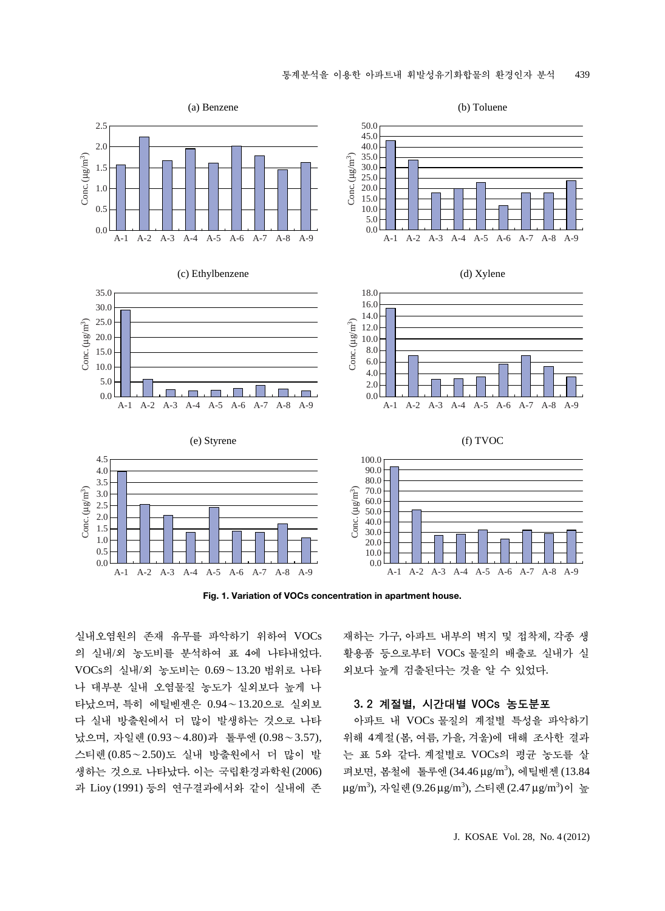

**Fig. 1. Variation of VOCs concentration in apartment house.**

실내오염원의 존재 유무를 파악하기 위하여 VOCs 의 실내/외 농도비를 분석하여 표 4에 나타내었다. VOCs의 실내/외 농도비는 0.69~13.20 범위로 나타 나 대부분 실내 오염물질 농도가 실외보다 높게 나 타났으며, 특히 에틸벤젠은 0.94~13.20으로 실외보 다 실내 방출원에서 더 많이 발생하는 것으로 나타 났으며, 자일렌 (0.93~4.80)과 톨루엔 (0.98~3.57), 스티렌(0.85~2.50)도 실내 방출원에서 더 많이 발 생하는 것으로 나타났다. 이는 국립환경과학원(2006) 과 Lioy (1991) 등의 연구결과에서와 같이 실내에 존 재하는 가구, 아파트 내부의 벽지 및 접착제, 각종 생 활용품 등으로부터 VOCs 물질의 배출로 실내가 실 외보다 높게 검출된다는 것을 알 수 있었다.

#### 3. 2 계절별, 시간대별 VOCs 농도분포

아파트 내 VOCs 물질의 계절별 특성을 파악하기 위해 4계절(봄, 여름, 가을, 겨울)에 대해 조사한 결과 는 표 5와 같다. 계절별로 VOCs의 평균 농도를 살 펴보면, 봄철에 톨루엔 (34.46 μg/m<sup>3</sup>), 에틸벤젠 (13.84 μg/m<sup>3</sup>), 자일렌(9.26μg/m<sup>3</sup>), 스티렌(2.47μg/m<sup>3</sup>)이 높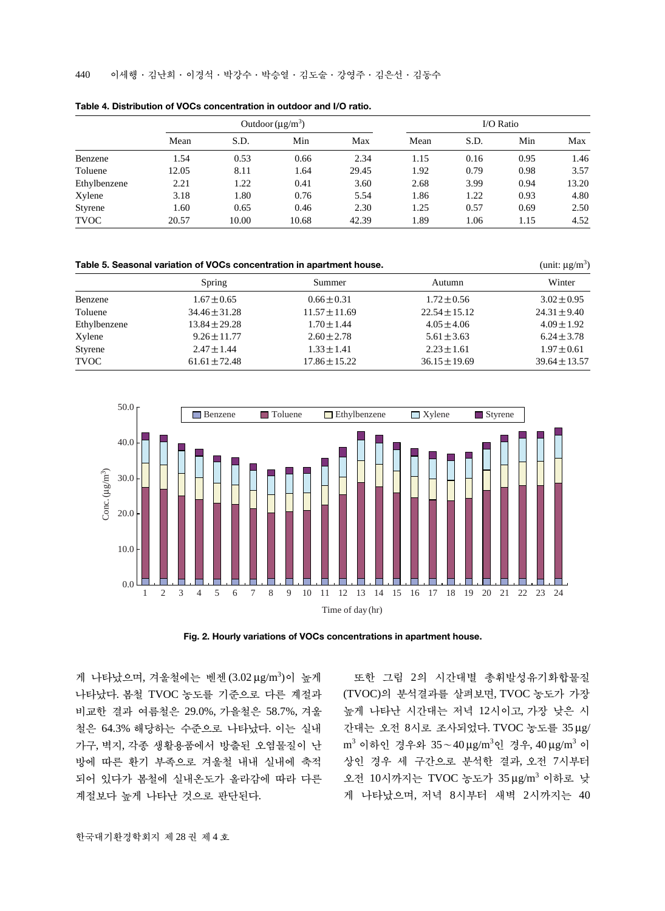440 이세행∙김난희∙이경석∙박강수∙박승열∙김도술∙강영주∙김은선∙김동수

|              | Outdoor $(\mu g/m^3)$ |       |       |       | I/O Ratio |      |      |       |
|--------------|-----------------------|-------|-------|-------|-----------|------|------|-------|
|              | Mean                  | S.D.  | Min   | Max   | Mean      | S.D. | Min  | Max   |
| Benzene      | 1.54                  | 0.53  | 0.66  | 2.34  | 1.15      | 0.16 | 0.95 | 1.46  |
| Toluene      | 12.05                 | 8.11  | 1.64  | 29.45 | 1.92      | 0.79 | 0.98 | 3.57  |
| Ethylbenzene | 2.21                  | 1.22  | 0.41  | 3.60  | 2.68      | 3.99 | 0.94 | 13.20 |
| Xylene       | 3.18                  | 1.80  | 0.76  | 5.54  | 1.86      | 1.22 | 0.93 | 4.80  |
| Styrene      | 1.60                  | 0.65  | 0.46  | 2.30  | 1.25      | 0.57 | 0.69 | 2.50  |
| <b>TVOC</b>  | 20.57                 | 10.00 | 10.68 | 42.39 | 1.89      | 1.06 | 1.15 | 4.52  |

**Table 4. Distribution of VOCs concentration in outdoor and I/O ratio.**

| Table 5. Seasonal variation of VOCs concentration in apartment house. | (unit: $\mu$ g/m <sup>3</sup> ) |                   |                   |                   |
|-----------------------------------------------------------------------|---------------------------------|-------------------|-------------------|-------------------|
|                                                                       | Spring                          | Summer            | Autumn            | Winter            |
| Benzene                                                               | $1.67 \pm 0.65$                 | $0.66 \pm 0.31$   | $1.72 \pm 0.56$   | $3.02 \pm 0.95$   |
| Toluene                                                               | $34.46 \pm 31.28$               | $11.57 \pm 11.69$ | $22.54 \pm 15.12$ | $24.31 \pm 9.40$  |
| Ethylbenzene                                                          | $13.84 \pm 29.28$               | $1.70 \pm 1.44$   | $4.05 \pm 4.06$   | $4.09 \pm 1.92$   |
| Xylene                                                                | $9.26 \pm 11.77$                | $2.60 \pm 2.78$   | $5.61 \pm 3.63$   | $6.24 \pm 3.78$   |
| Styrene                                                               | $2.47 \pm 1.44$                 | $1.33 \pm 1.41$   | $2.23 \pm 1.61$   | $1.97 \pm 0.61$   |
| <b>TVOC</b>                                                           | $61.61 \pm 72.48$               | $17.86 \pm 15.22$ | $36.15 \pm 19.69$ | $39.64 \pm 13.57$ |



**Fig. 2. Hourly variations of VOCs concentrations in apartment house.**

게 나타났으며, 겨울철에는 벤젠 (3.02 μg/m<sup>3</sup>)이 높게 나타났다. 봄철 TVOC 농도를 기준으로 다른 계절과 비교한 결과 여름철은 29.0%, 가을철은 58.7%, 겨울 철은 64.3% 해당하는 수준으로 나타났다. 이는 실내 가구, 벽지, 각종 생활용품에서 방출된 오염물질이 난 방에 따른 환기 부족으로 겨울철 내내 실내에 축적 되어 있다가 봄철에 실내온도가 올라감에 따라 다른 계절보다 높게 나타난 것으로 판단된다.

또한 그림 2의 시간대별 총휘발성유기화합물질 (TVOC)의 분석결과를 살펴보면, TVOC 농도가 가장 높게 나타난 시간대는 저녁 12시이고, 가장 낮은 시 간대는 오전 8시로 조사되었다. TVOC 농도를 35 μg/ m<sup>3</sup> 이하인 경우와 35∼40μg/m<sup>3</sup>인 경우,40μg/m<sup>3</sup> 이 상인 경우 세 구간으로 분석한 결과, 오전 7시부터 오전 10시까지는 TVOC 농도가 35 μg/m3 이하로 낮 게 나타났으며, 저녁 8시부터 새벽 2시까지는 40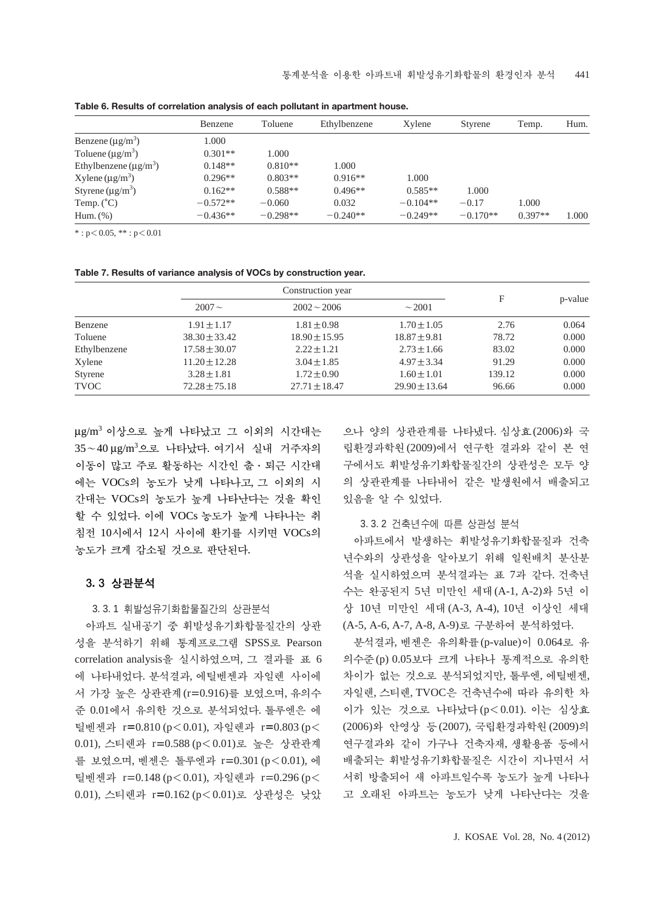|                                      | Benzene    | Toluene    | Ethylbenzene | Xylene     | Styrene    | Temp.     | Hum.  |
|--------------------------------------|------------|------------|--------------|------------|------------|-----------|-------|
| Benzene $(\mu g/m^3)$                | 1.000      |            |              |            |            |           |       |
| Toluene $(\mu g/m^3)$                | $0.301**$  | 1.000      |              |            |            |           |       |
| Ethylbenzene $(\mu g/m^3)$           | $0.148**$  | $0.810**$  | 1.000        |            |            |           |       |
| $X$ ylene ( $\mu$ g/m <sup>3</sup> ) | $0.296**$  | $0.803**$  | $0.916**$    | 1.000      |            |           |       |
| Styrene $(\mu g/m^3)$                | $0.162**$  | $0.588**$  | $0.496**$    | $0.585**$  | 1.000      |           |       |
| Temp. $(^{\circ}C)$                  | $-0.572**$ | $-0.060$   | 0.032        | $-0.104**$ | $-0.17$    | 1.000     |       |
| Hum. $(\%)$                          | $-0.436**$ | $-0.298**$ | $-0.240**$   | $-0.249**$ | $-0.170**$ | $0.397**$ | 1.000 |

**Table 6. Results of correlation analysis of each pollutant in apartment house.**

 $*$ : p $<$  0.05,  $**$ : p $<$  0.01

|  |  |  |  |  | Table 7. Results of variance analysis of VOCs by construction year. |  |
|--|--|--|--|--|---------------------------------------------------------------------|--|
|--|--|--|--|--|---------------------------------------------------------------------|--|

|              |                   | Construction year |                   |        |         |
|--------------|-------------------|-------------------|-------------------|--------|---------|
|              | $2007 -$          | $2002 - 2006$     | $\sim$ 2001       | F      | p-value |
| Benzene      | $1.91 \pm 1.17$   | $1.81 \pm 0.98$   | $1.70 \pm 1.05$   | 2.76   | 0.064   |
| Toluene      | $38.30 \pm 33.42$ | $18.90 \pm 15.95$ | $18.87 \pm 9.81$  | 78.72  | 0.000   |
| Ethylbenzene | $17.58 \pm 30.07$ | $2.22 \pm 1.21$   | $2.73 \pm 1.66$   | 83.02  | 0.000   |
| Xylene       | $11.20 \pm 12.28$ | $3.04 \pm 1.85$   | $4.97 \pm 3.34$   | 91.29  | 0.000   |
| Styrene      | $3.28 \pm 1.81$   | $1.72 \pm 0.90$   | $1.60 \pm 1.01$   | 139.12 | 0.000   |
| <b>TVOC</b>  | $72.28 \pm 75.18$ | $27.71 \pm 18.47$ | $29.90 \pm 13.64$ | 96.66  | 0.000   |

 $\mu$ g/m<sup>3</sup> 이상으로 높게 나타났고 그 이외의 시간대는 35∼40μg/m<sup>3</sup>으로 나타났다. 여기서 실내 거주자의 이동이 많고 주로 활동하는 시간인 출∙퇴근 시간대 에는 VOCs의 농도가 낮게 나타나고, 그 이외의 시 간대는 VOCs의 농도가 높게 나타난다는 것을 확인 할 수 있었다. 이에 VOCs 농도가 높게 나타나는 취 침전 10시에서 12시 사이에 환기를 시키면 VOCs의 농도가 크게 감소될 것으로 판단된다.

#### 3. 3 상관분석

3. 3. 1 휘발성유기화합물질간의 상관분석

아파트 실내공기 중 휘발성유기화합물질간의 상관 성을 분석하기 위해 통계프로그램 SPSS로 Pearson correlation analysis을 실시하였으며, 그 결과를 표 6 에 나타내었다. 분석결과, 에틸벤젠과 자일렌 사이에 서 가장 높은 상관관계(r=0.916)를 보였으며, 유의수 준 0.01에서 유의한 것으로 분석되었다. 톨루엔은 에 틸벤젠과 r=0.810 (p<0.01), 자일렌과 r=0.803 (p< 0.01), 스티렌과 r=0.588 (p<0.01)로 높은 상관관계 를 보였으며, 벤젠은 톨루엔과 r=0.301 (p⁄0.01), 에 틸벤젠과 r=0.148 (p<0.01), 자일렌과 r=0.296 (p< 0.01), 스티렌과 r=0.162 (p<0.01)로 상관성은 낮았

으나 양의 상관관계를 나타냈다. 심상효(2006)와 국 립환경과학원(2009)에서 연구한 결과와 같이 본 연 구에서도 휘발성유기화합물질간의 상관성은 모두 양 의 상관관계를 나타내어 같은 발생원에서 배출되고 있음을 알 수 있었다.

## 3. 3. 2 건축년수에 따른 상관성 분석

아파트에서 발생하는 휘발성유기화합물질과 건축 년수와의 상관성을 알아보기 위해 일원배치 분산분 석을 실시하였으며 분석결과는 표 7과 같다. 건축년 수는 완공된지 5년 미만인 세대(A-1, A-2)와 5년 이 상 10년 미만인 세대(A-3, A-4), 10년 이상인 세대 (A-5, A-6, A-7, A-8, A-9)로 구분하여 분석하였다.

분석결과, 벤젠은 유의확률(p-value)이 0.064로 유 의수준(p) 0.05보다 크게 나타나 통계적으로 유의한 차이가 없는 것으로 분석되었지만, 톨루엔, 에틸벤젠, 자일렌, 스티렌, TVOC은 건축년수에 따라 유의한 차 이가 있는 것으로 나타났다(p⁄0.01). 이는 심상효 (2006)와 안영상 등(2007), 국립환경과학원(2009)의 연구결과와 같이 가구나 건축자재, 생활용품 등에서 배출되는 휘발성유기화합물질은 시간이 지나면서 서 서히 방출되어 새 아파트일수록 농도가 높게 나타나 고 오래된 아파트는 농도가 낮게 나타난다는 것을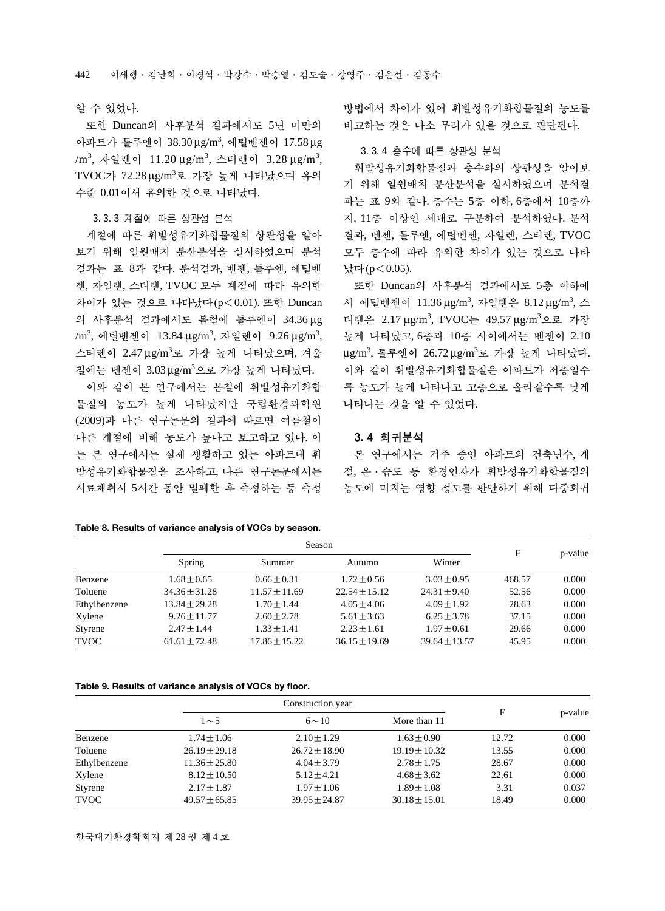#### 알 수 있었다.

또한 Duncan의 사후분석 결과에서도 5년 미만의 아파트가 톨루엔이 38.30μg/m<sup>3</sup>, 에틸벤젠이 17.58μg /m<sup>3</sup>, 자일렌이 11.20μg/m<sup>3</sup>, 스티렌이 3.28μg/m<sup>3</sup>, TVOC가 72.28μg/m<sup>3</sup>로 가장 높게 나타났으며 유의 수준 0.01이서 유의한 것으로 나타났다.

#### 3. 3. 3 계절에 따른 상관성 분석

계절에 따른 휘발성유기화합물질의 상관성을 알아 보기 위해 일원배치 분산분석을 실시하였으며 분석 결과는 표 8과 같다. 분석결과, 벤젠, 톨루엔, 에틸벤 젠, 자일렌, 스티렌, TVOC 모두 계절에 따라 유의한 차이가 있는 것으로 나타났다(p<0.01). 또한 Duncan 의 사후분석 결과에서도 봄철에 톨루엔이 34.36 μg /m<sup>3</sup>, 에틸벤젠이 13.84  $\mu$ g/m $^3$ , 자일렌이 9.26  $\mu$ g/m $^3$ , 스티렌이 2.47μg/m<sup>3</sup>로 가장 높게 나타났으며, 겨울 철에는 벤젠이 3.03μg/m<sup>3</sup>으로 가장 높게 나타났다.

이와 같이 본 연구에서는 봄철에 휘발성유기화합 물질의 농도가 높게 나타났지만 국립환경과학원 (2009)과 다른 연구논문의 결과에 따르면 여름철이 다른 계절에 비해 농도가 높다고 보고하고 있다. 이 는 본 연구에서는 실제 생활하고 있는 아파트내 휘 발성유기화합물질을 조사하고, 다른 연구논문에서는 시료채취시 5시간 동안 밀폐한 후 측정하는 등 측정 방법에서 차이가 있어 휘발성유기화합물질의 농도를 비교하는 것은 다소 무리가 있을 것으로 판단된다.

#### 3. 3. 4 층수에 따른 상관성 분석

휘발성유기화합물질과 층수와의 상관성을 알아보 기 위해 일원배치 분산분석을 실시하였으며 분석결 과는 표 9와 같다. 층수는 5층 이하, 6층에서 10층까 지, 11층 이상인 세대로 구분하여 분석하였다. 분석 결과, 벤젠, 톨루엔, 에틸벤젠, 자일렌, 스티렌, TVOC 모두 층수에 따라 유의한 차이가 있는 것으로 나타 났다(p<0.05).

또한 Duncan의 사후분석 결과에서도 5층 이하에 서 에틸벤젠이 11.36μg/m<sup>3</sup>, 자일렌은 8.12μg/m<sup>3</sup>, 스 티렌은 2.17 μg/m3 , TVOC는 49.57 μg/m3 으로 가장 높게 나타났고, 6층과 10층 사이에서는 벤젠이 2.10 μg/m3 , 톨루엔이 26.72 μg/m<sup>3</sup> 로 가장 높게 나타났다. 이와 같이 휘발성유기화합물질은 아파트가 저층일수 록 농도가 높게 나타나고 고층으로 올라갈수록 낮게 나타나는 것을 알 수 있었다.

### 3. 4 회귀분석

본 연구에서는 거주 중인 아파트의 건축년수, 계 절, 온∙습도 등 환경인자가 휘발성유기화합물질의 농도에 미치는 영향 정도를 판단하기 위해 다중회귀

|              |                   | Season            |                   |                   |        |         |  |
|--------------|-------------------|-------------------|-------------------|-------------------|--------|---------|--|
|              | Spring            | Summer            | Autumn            | Winter            | F      | p-value |  |
| Benzene      | $1.68 \pm 0.65$   | $0.66 \pm 0.31$   | $1.72 \pm 0.56$   | $3.03 \pm 0.95$   | 468.57 | 0.000   |  |
| Toluene      | $34.36 \pm 31.28$ | $11.57 \pm 11.69$ | $22.54 \pm 15.12$ | $24.31 \pm 9.40$  | 52.56  | 0.000   |  |
| Ethylbenzene | $13.84 \pm 29.28$ | $1.70 \pm 1.44$   | $4.05 \pm 4.06$   | $4.09 \pm 1.92$   | 28.63  | 0.000   |  |
| Xylene       | $9.26 \pm 11.77$  | $2.60 \pm 2.78$   | $5.61 \pm 3.63$   | $6.25 \pm 3.78$   | 37.15  | 0.000   |  |
| Styrene      | $2.47 \pm 1.44$   | $1.33 \pm 1.41$   | $2.23 \pm 1.61$   | $1.97 \pm 0.61$   | 29.66  | 0.000   |  |
| TVOC         | $61.61 + 72.48$   | $17.86 \pm 15.22$ | $36.15 \pm 19.69$ | $39.64 \pm 13.57$ | 45.95  | 0.000   |  |
|              |                   |                   |                   |                   |        |         |  |

#### **Table 8. Results of variance analysis of VOCs by season.**

#### **Table 9. Results of variance analysis of VOCs by floor.**

|              |                   | Construction year |                   |       |         |
|--------------|-------------------|-------------------|-------------------|-------|---------|
|              | $1 \sim 5$        | $6 - 10$          | More than 11      | F     | p-value |
| Benzene      | $1.74 \pm 1.06$   | $2.10 \pm 1.29$   | $1.63 \pm 0.90$   | 12.72 | 0.000   |
| Toluene      | $26.19 \pm 29.18$ | $26.72 \pm 18.90$ | $19.19 \pm 10.32$ | 13.55 | 0.000   |
| Ethylbenzene | $11.36 \pm 25.80$ | $4.04 \pm 3.79$   | $2.78 \pm 1.75$   | 28.67 | 0.000   |
| Xylene       | $8.12 \pm 10.50$  | $5.12 \pm 4.21$   | $4.68 \pm 3.62$   | 22.61 | 0.000   |
| Styrene      | $2.17 \pm 1.87$   | $1.97 \pm 1.06$   | $1.89 \pm 1.08$   | 3.31  | 0.037   |
| <b>TVOC</b>  | $49.57 \pm 65.85$ | $39.95 \pm 24.87$ | $30.18 \pm 15.01$ | 18.49 | 0.000   |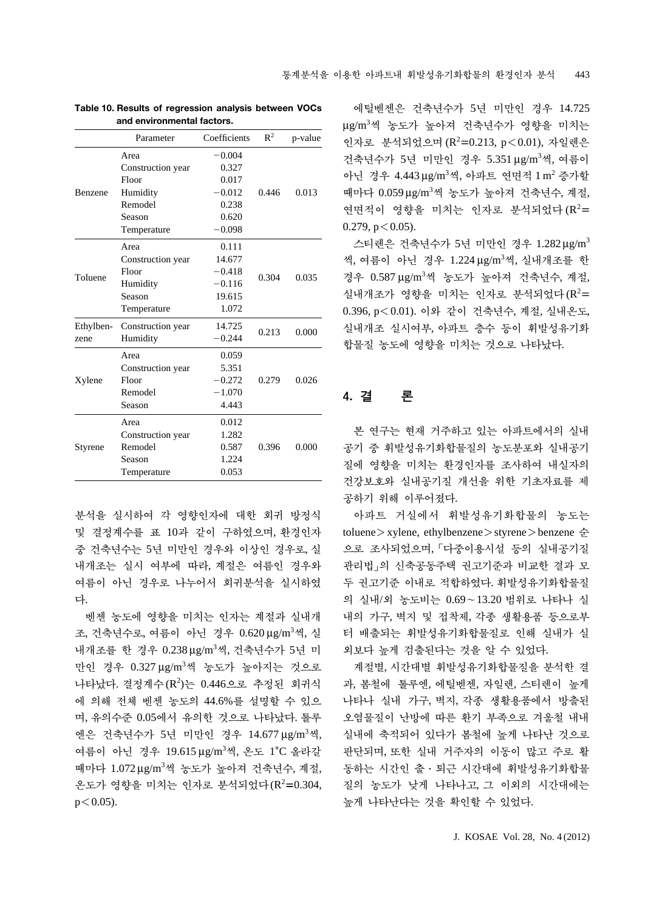|                | Parameter         | Coefficients | $\mathbb{R}^2$ | p-value |  |
|----------------|-------------------|--------------|----------------|---------|--|
|                | Area              | $-0.004$     |                |         |  |
|                | Construction year | 0.327        |                |         |  |
|                | Floor             | 0.017        |                |         |  |
| <b>Benzene</b> | Humidity          | $-0.012$     | 0446           | 0.013   |  |
|                | Remodel           | 0.238        |                |         |  |
|                | Season            | 0.620        |                |         |  |
|                | Temperature       | $-0.098$     |                |         |  |
|                | Area              | 0.111        |                |         |  |
|                | Construction year | 14.677       |                |         |  |
| Toluene        | Floor             | $-0.418$     | 0.304          | 0.035   |  |
|                | Humidity          | $-0.116$     |                |         |  |
|                | Season            | 19.615       |                |         |  |
|                | Temperature       | 1.072        |                |         |  |
| Ethylben-      | Construction year | 14.725       | 0.213          |         |  |
| zene           | Humidity          | $-0.244$     |                | 0.000   |  |
|                | Area              | 0.059        |                |         |  |
|                | Construction year | 5.351        |                |         |  |
| Xylene         | Floor             | $-0.272$     | 0.279          | 0.026   |  |
|                | Remodel           | $-1.070$     |                |         |  |
|                | Season            | 4.443        |                |         |  |
|                | Area              | 0.012        |                |         |  |
|                | Construction year | 1.282        |                |         |  |
| Styrene        | Remodel           | 0.587        | 0.396          | 0.000   |  |
|                | Season            | 1.224        |                |         |  |
|                | Temperature       | 0.053        |                |         |  |

**Table 10. Results of regression analysis between VOCs and environmental factors.**

분석을 실시하여 각 영향인자에 대한 회귀 방정식 및 결정계수를 표 10과 같이 구하였으며, 환경인자 중 건축년수는 5년 미만인 경우와 이상인 경우로, 실 내개조는 실시 여부에 따라, 계절은 여름인 경우와 여름이 아닌 경우로 나누어서 회귀분석을 실시하였 다.

벤젠 농도에 영향을 미치는 인자는 계절과 실내개 조, 건축년수로, 여름이 아닌 경우 0.620μg/m<sup>3</sup>씩, 실 내개조를 한 경우 0.238 μg/m3 씩, 건축년수가 5년 미 만인 경우 0.327 μg/m<sup>3</sup>씩 농도가 높아지는 것으로 나타났다. 결정계수 $(R^2)$ 는 0.446으로 추정된 회귀식 에 의해 전체 벤젠 농도의 44.6%를 설명할 수 있으 며, 유의수준 0.05에서 유의한 것으로 나타났다. 톨루 엔은 건축년수가 5년 미만인 경우 14.677 μg/m<sup>3</sup> 씩, 여름이 아닌 경우 19.615 μg/m<sup>3</sup>씩, 온도 1°C 올라갈 때마다 1.072 μg/m3 씩 농도가 높아져 건축년수, 계절, 온도가 영향을 미치는 인자로 분석되었다(R<sup>2</sup>=0.304,  $p < 0.05$ ).

에틸벤젠은 건축년수가 5년 미만인 경우 14.725 μg/m<sup>3</sup>씩 농도가 높아져 건축년수가 영향을 미치는 인자로 분석되었으며 (R<sup>2</sup>=0.213, p<0.01), 자일렌은 건축년수가 5년 미만인 경우 5.351 μg/m<sup>3</sup>씩, 여름이 아닌 경우 4.443 μg/m<sup>3</sup>씩, 아파트 연면적 1 m<sup>2</sup> 증가할 때마다 0.059 μg/m3 씩 농도가 높아져 건축년수, 계절, 연면적이 영향을 미치는 인자로 분석되었다 (R<sup>2</sup>=  $0.279$ ,  $p < 0.05$ ).

스티렌은 건축년수가 5년 미만인 경우 1.282 μg/m3 씩, 여름이 아닌 경우 1.224μg/m<sup>3</sup>씩, 실내개조를 한 경우 0.587 μg/m3 씩 농도가 높아져 건축년수, 계절, 실내개조가 영향을 미치는 인자로 분석되었다 $(R^2=$ 0.396, p⁄0.01). 이와 같이 건축년수, 계절, 실내온도, 실내개조 실시여부, 아파트 층수 등이 휘발성유기화 합물질 농도에 영향을 미치는 것으로 나타났다.

# 4. 결 론

본 연구는 현재 거주하고 있는 아파트에서의 실내 공기 중 휘발성유기화합물질의 농도분포와 실내공기 질에 영향을 미치는 환경인자를 조사하여 내실자의 건강보호와 실내공기질 개선을 위한 기초자료를 제 공하기 위해 이루어졌다.

아파트 거실에서 휘발성유기화합물의 농도는 toluene > xylene, ethylbenzene > styrene > benzene 순 으로 조사되었으며, 「다중이용시설 등의 실내공기질 관리법」의 신축공동주택 권고기준과 비교한 결과 모 두 권고기준 이내로 적합하였다. 휘발성유기화합물질 의 실내/외 농도비는 0.69~13.20 범위로 나타나 실 내의 가구, 벽지 및 접착제, 각종 생활용품 등으로부 터 배출되는 휘발성유기화합물질로 인해 실내가 실 외보다 높게 검출된다는 것을 알 수 있었다.

계절별, 시간대별 휘발성유기화합물질을 분석한 결 과, 봄철에 톨루엔, 에틸벤젠, 자일렌, 스티렌이 높게 나타나 실내 가구, 벽지, 각종 생활용품에서 방출된 오염물질이 난방에 따른 환기 부족으로 겨울철 내내 실내에 축적되어 있다가 봄철에 높게 나타난 것으로 판단되며, 또한 실내 거주자의 이동이 많고 주로 활 동하는 시간인 출∙퇴근 시간대에 휘발성유기화합물 질의 농도가 낮게 나타나고, 그 이외의 시간대에는 높게 나타난다는 것을 확인할 수 있었다.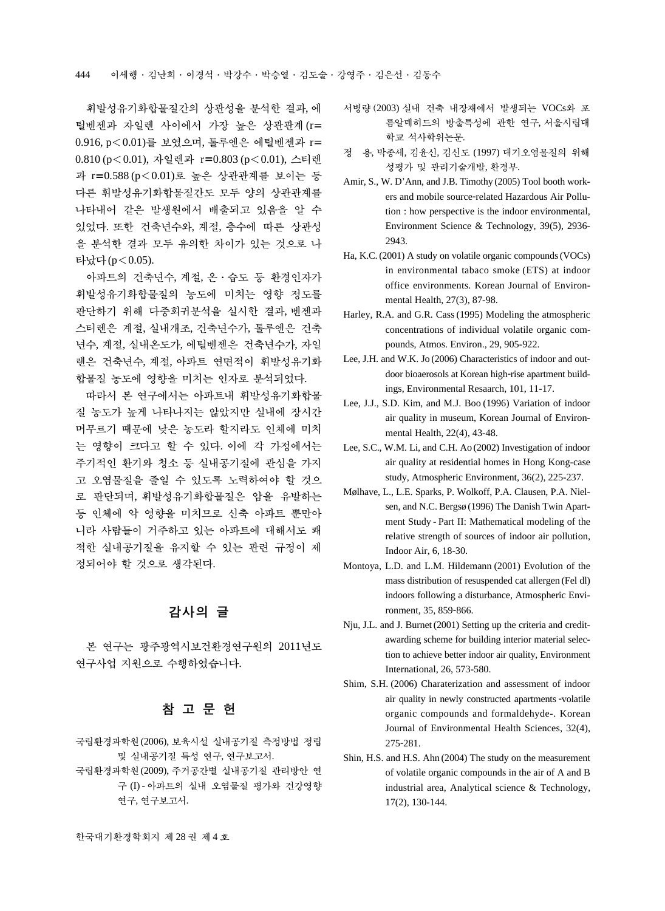휘발성유기화합물질간의 상관성을 분석한 결과, 에 틸벤젠과 자일렌 사이에서 가장 높은 상관관계(r= 0.916, p⁄0.01)를 보였으며, 톨루엔은 에틸벤젠과 r= 0.810 (p<0.01), 자일렌과 r=0.803 (p<0.01), 스티렌 과 r=0.588 (p⁄0.01)로 높은 상관관계를 보이는 등 다른 휘발성유기화합물질간도 모두 양의 상관관계를 나타내어 같은 발생원에서 배출되고 있음을 알 수 있었다. 또한 건축년수와, 계절, 층수에 따른 상관성 을 분석한 결과 모두 유의한 차이가 있는 것으로 나 타났다(p⁄0.05).

아파트의 건축년수, 계절, 온∙습도 등 환경인자가 휘발성유기화합물질의 농도에 미치는 영향 정도를 판단하기 위해 다중회귀분석을 실시한 결과, 벤젠과 스티렌은 계절, 실내개조, 건축년수가, 톨루엔은 건축 년수, 계절, 실내온도가, 에틸벤젠은 건축년수가, 자일 렌은 건축년수, 계절, 아파트 연면적이 휘발성유기화 합물질 농도에 영향을 미치는 인자로 분석되었다.

따라서 본 연구에서는 아파트내 휘발성유기화합물 질 농도가 높게 나타나지는 않았지만 실내에 장시간 머무르기 때문에 낮은 농도라 할지라도 인체에 미치 는 영향이 크다고 할 수 있다. 이에 각 가정에서는 주기적인 환기와 청소 등 실내공기질에 관심을 가지 고 오염물질을 줄일 수 있도록 노력하여야 할 것으 로 판단되며, 휘발성유기화합물질은 암을 유발하는 등 인체에 악 영향을 미치므로 신축 아파트 뿐만아 니라 사람들이 거주하고 있는 아파트에 대해서도 쾌 적한 실내공기질을 유지할 수 있는 관련 규정이 제 정되어야 할 것으로 생각된다.

# 감사의 글

본 연구는 광주광역시보건환경연구원의 2011년도 연구사업 지원으로 수행하였습니다.

# 참고문헌

- 국립환경과학원(2006), 보육시설 실내공기질 측정방법 정립 및 실내공기질 특성 연구, 연구보고서.
- 국립환경과학원(2009), 주거공간별 실내공기질 관리방안 연 구 (I) - 아파트의 실내 오염물질 평가와 건강영향 연구, 연구보고서.
- 서병량 (2003) 실내 건축 내장재에서 발생되는 VOCs와 포 름알데히드의 방출특성에 관한 연구, 서울시립대 학교 석사학위논문.
- 정 용, 박종세, 김윤신, 김신도 (1997) 대기오염물질의 위해 성평가 및 관리기술개발, 환경부.
- Amir, S., W. D'Ann, and J.B. Timothy (2005) Tool booth workers and mobile source-related Hazardous Air Pollution : how perspective is the indoor environmental, Environment Science & Technology, 39(5), 2936- 2943.
- Ha, K.C. (2001) A study on volatile organic compounds (VOCs) in environmental tabaco smoke (ETS) at indoor office environments. Korean Journal of Environmental Health, 27(3), 87-98.
- Harley, R.A. and G.R. Cass (1995) Modeling the atmospheric concentrations of individual volatile organic compounds, Atmos. Environ., 29, 905-922.
- Lee, J.H. and W.K. Jo (2006) Characteristics of indoor and outdoor bioaerosols at Korean high-rise apartment buildings, Environmental Resaarch, 101, 11-17.
- Lee, J.J., S.D. Kim, and M.J. Boo (1996) Variation of indoor air quality in museum, Korean Journal of Environmental Health, 22(4), 43-48.
- Lee, S.C., W.M. Li, and C.H. Ao (2002) Investigation of indoor air quality at residential homes in Hong Kong-case study, Atmospheric Environment, 36(2), 225-237.
- Mølhave, L., L.E. Sparks, P. Wolkoff, P.A. Clausen, P.A. Nielsen, and N.C. Bergsø (1996) The Danish Twin Apartment Study - Part II: Mathematical modeling of the relative strength of sources of indoor air pollution, Indoor Air, 6, 18-30.
- Montoya, L.D. and L.M. Hildemann (2001) Evolution of the mass distribution of resuspended cat allergen (Fel dl) indoors following a disturbance, Atmospheric Environment, 35, 859-866.
- Nju, J.L. and J. Burnet (2001) Setting up the criteria and creditawarding scheme for building interior material selection to achieve better indoor air quality, Environment International, 26, 573-580.
- Shim, S.H. (2006) Charaterization and assessment of indoor air quality in newly constructed apartments -volatile organic compounds and formaldehyde-. Korean Journal of Environmental Health Sciences, 32(4), 275-281.
- Shin, H.S. and H.S. Ahn (2004) The study on the measurement of volatile organic compounds in the air of A and B industrial area, Analytical science & Technology, 17(2), 130-144.